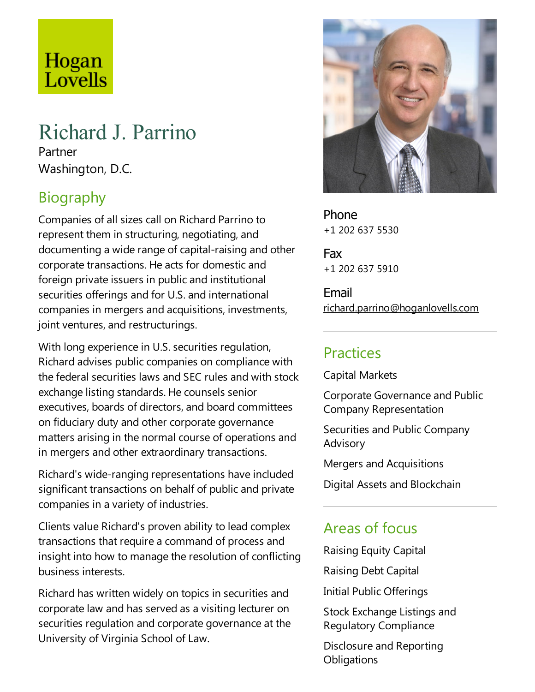# Hogan Lovells

# Richard J. Parrino

Partner Washington, D.C.

# Biography

Companies of all sizes call on Richard Parrino to represent them in structuring, negotiating, and documenting a wide range of capital-raising and other corporate transactions. He acts for domestic and foreign private issuers in public and institutional securities offerings and for U.S. and international companies in mergers and acquisitions, investments, joint ventures, and restructurings.

With long experience in U.S. securities regulation, Richard advises public companies on compliance with the federal securities laws and SEC rules and with stock exchange listing standards. He counsels senior executives, boards of directors, and board committees on fiduciary duty and other corporate governance matters arising in the normal course of operations and in mergers and other extraordinary transactions.

Richard's wide-ranging representations have included significant transactions on behalf of public and private companies in avariety of industries.

Clients value Richard's proven ability to lead complex transactions that require a command of process and insight into how to manage the resolution of conflicting business interests.

Richard has written widely on topics in securities and corporate law and has served as a visiting lecturer on securities regulation and corporate governance at the University of Virginia School of Law.



Phone +1 202 637 5530

Fax +1 202 637 5910

Email richard.parrino@hoganlovells.com

#### Practices

Capital Markets

Corporate Governance and Public Company Representation

Securities and Public Company Advisory

Mergers and Acquisitions

Digital Assets and Blockchain

#### Areas of focus

Raising Equity Capital

Raising Debt Capital

Initial Public Offerings

Stock Exchange Listings and Regulatory Compliance

Disclosure and Reporting **Obligations**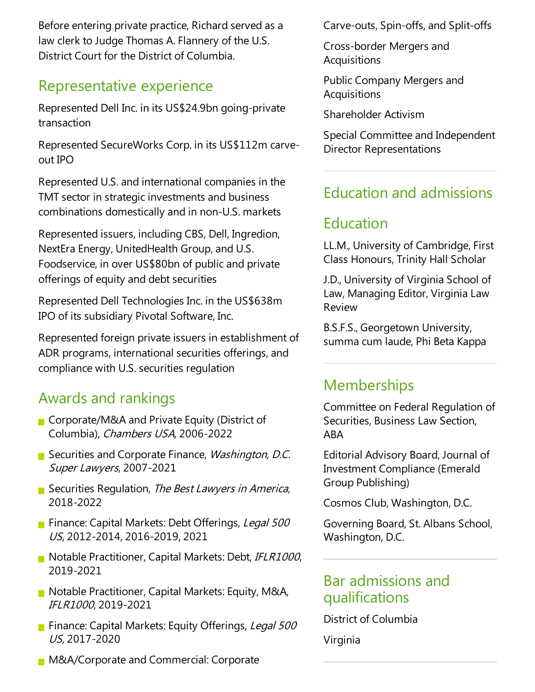Before entering private practice, Richard served as a law clerk to Judge Thomas A. Flannery of the U.S. District Court for the District of Columbia.

#### Representative experience

Represented Dell Inc. in its US\$24.9bn going-private transaction

Represented SecureWorks Corp. in its US\$112m carveout IPO

Represented U.S.and international companies in the TMT sector in strategic investments and business combinations domestically and in non-U.S. markets

Represented issuers, including CBS, Dell, Ingredion, NextEra Energy, UnitedHealth Group, and U.S. Foodservice, in over US\$80bn of public and private offerings of equity and debt securities

Represented DellTechnologies Inc. in the US\$638m IPO of its subsidiary Pivotal Software, Inc.

Represented foreign private issuers in establishment of ADR programs, international securities offerings, and compliance with U.S. securities regulation

#### Awards and rankings

- Corporate/M&A and Private Equity (District of Columbia), Chambers USA, 2006-2022
- Securities and Corporate Finance, Washington, D.C. Super Lawyers, 2007-2021
- Securities Regulation, The Best Lawyers in America, 2018-2022
- **Finance: Capital Markets: Debt Offerings, Legal 500** US, 2012-2014, 2016-2019, 2021
- Notable Practitioner, Capital Markets: Debt, IFLR1000, 2019-2021
- $\blacksquare$  Notable Practitioner, Capital Markets: Equity, M&A, IFLR1000, 2019-2021
- Finance: Capital Markets: Equity Offerings, Legal 500 US, 2017-2020
- **M&A/Corporate and Commercial: Corporate**

Carve-outs, Spin-offs,and Split-offs

Cross-border Mergers and **Acquisitions** 

Public Company Mergers and **Acquisitions** 

Shareholder Activism

Special Committee and Independent Director Representations

## Education and admissions

# Education

LL.M., University of Cambridge, First Class Honours, Trinity Hall Scholar

J.D., University of Virginia School of Law, Managing Editor, Virginia Law Review

B.S.F.S., Georgetown University, summa cum laude, Phi Beta Kappa

## **Memberships**

Committee on Federal Regulation of Securities, Business Law Section, ABA

Editorial Advisory Board, Journal of Investment Compliance(Emerald Group Publishing)

Cosmos Club, Washington, D.C.

Governing Board, St. Albans School, Washington, D.C.

#### Bar admissions and qualifications

District of Columbia

Virginia